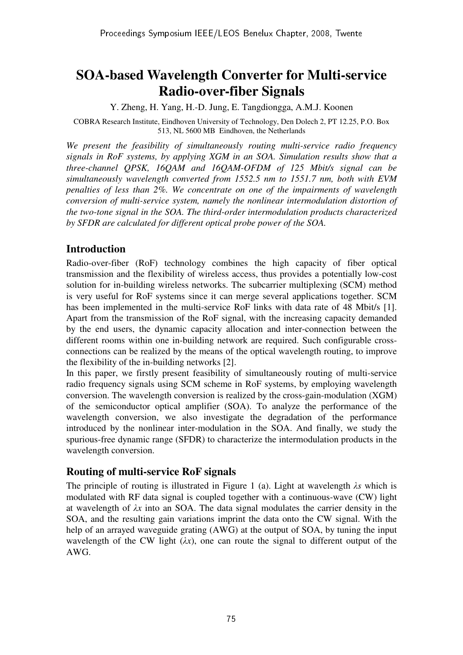# **SOA-based Wavelength Converter for Multi-service Radio-over-fiber Signals**

Y. Zheng, H. Yang, H.-D. Jung, E. Tangdiongga, A.M.J. Koonen

COBRA Research Institute, Eindhoven University of Technology, Den Dolech 2, PT 12.25, P.O. Box 513, NL 5600 MB Eindhoven, the Netherlands

*We present the feasibility of simultaneously routing multi-service radio frequency signals in RoF systems, by applying XGM in an SOA. Simulation results show that a three-channel QPSK, 16QAM and 16QAM-OFDM of 125 Mbit/s signal can be simultaneously wavelength converted from 1552.5 nm to 1551.7 nm, both with EVM penalties of less than 2%. We concentrate on one of the impairments of wavelength conversion of multi-service system, namely the nonlinear intermodulation distortion of the two-tone signal in the SOA. The third-order intermodulation products characterized by SFDR are calculated for different optical probe power of the SOA.* 

## **Introduction**

Radio-over-fiber (RoF) technology combines the high capacity of fiber optical transmission and the flexibility of wireless access, thus provides a potentially low-cost solution for in-building wireless networks. The subcarrier multiplexing (SCM) method is very useful for RoF systems since it can merge several applications together. SCM has been implemented in the multi-service RoF links with data rate of 48 Mbit/s [1]. Apart from the transmission of the RoF signal, with the increasing capacity demanded by the end users, the dynamic capacity allocation and inter-connection between the different rooms within one in-building network are required. Such configurable crossconnections can be realized by the means of the optical wavelength routing, to improve the flexibility of the in-building networks [2].

In this paper, we firstly present feasibility of simultaneously routing of multi-service radio frequency signals using SCM scheme in RoF systems, by employing wavelength conversion. The wavelength conversion is realized by the cross-gain-modulation (XGM) of the semiconductor optical amplifier (SOA). To analyze the performance of the wavelength conversion, we also investigate the degradation of the performance introduced by the nonlinear inter-modulation in the SOA. And finally, we study the spurious-free dynamic range (SFDR) to characterize the intermodulation products in the wavelength conversion.

## **Routing of multi-service RoF signals**

The principle of routing is illustrated in Figure 1 (a). Light at wavelength λ*s* which is modulated with RF data signal is coupled together with a continuous-wave (CW) light at wavelength of λ*x* into an SOA. The data signal modulates the carrier density in the SOA, and the resulting gain variations imprint the data onto the CW signal. With the help of an arrayed waveguide grating (AWG) at the output of SOA, by tuning the input wavelength of the CW light  $(\lambda x)$ , one can route the signal to different output of the AWG.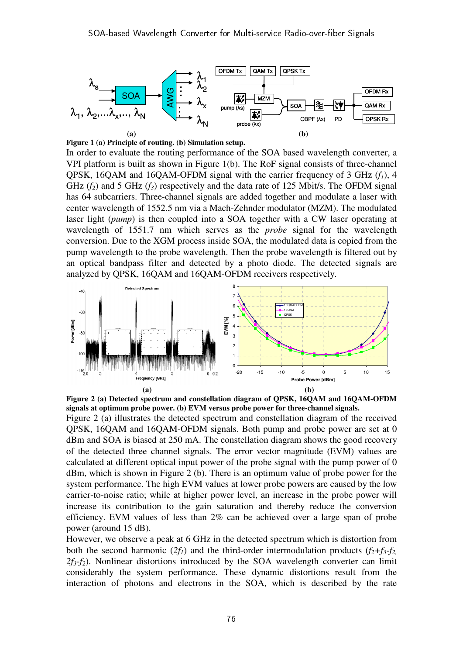

**Figure 1 (a) Principle of routing. (b) Simulation setup.** 

In order to evaluate the routing performance of the SOA based wavelength converter, a VPI platform is built as shown in Figure 1(b). The RoF signal consists of three-channel QPSK, 16QAM and 16QAM-OFDM signal with the carrier frequency of 3 GHz (*f1*), 4 GHz  $(f_2)$  and 5 GHz  $(f_3)$  respectively and the data rate of 125 Mbit/s. The OFDM signal has 64 subcarriers. Three-channel signals are added together and modulate a laser with center wavelength of 1552.5 nm via a Mach-Zehnder modulator (MZM). The modulated laser light (*pump*) is then coupled into a SOA together with a CW laser operating at wavelength of 1551.7 nm which serves as the *probe* signal for the wavelength conversion. Due to the XGM process inside SOA, the modulated data is copied from the pump wavelength to the probe wavelength. Then the probe wavelength is filtered out by an optical bandpass filter and detected by a photo diode. The detected signals are analyzed by QPSK, 16QAM and 16QAM-OFDM receivers respectively.



**Figure 2 (a) Detected spectrum and constellation diagram of QPSK, 16QAM and 16QAM-OFDM signals at optimum probe power. (b) EVM versus probe power for three-channel signals.**  Figure 2 (a) illustrates the detected spectrum and constellation diagram of the received QPSK, 16QAM and 16QAM-OFDM signals. Both pump and probe power are set at 0 dBm and SOA is biased at 250 mA. The constellation diagram shows the good recovery of the detected three channel signals. The error vector magnitude (EVM) values are calculated at different optical input power of the probe signal with the pump power of 0 dBm, which is shown in Figure 2 (b). There is an optimum value of probe power for the system performance. The high EVM values at lower probe powers are caused by the low carrier-to-noise ratio; while at higher power level, an increase in the probe power will increase its contribution to the gain saturation and thereby reduce the conversion efficiency. EVM values of less than 2% can be achieved over a large span of probe power (around 15 dB).

However, we observe a peak at 6 GHz in the detected spectrum which is distortion from both the second harmonic  $(2f_1)$  and the third-order intermodulation products  $(f_2+f_3-f_2)$  $2f_3$ - $f_2$ ). Nonlinear distortions introduced by the SOA wavelength converter can limit considerably the system performance. These dynamic distortions result from the interaction of photons and electrons in the SOA, which is described by the rate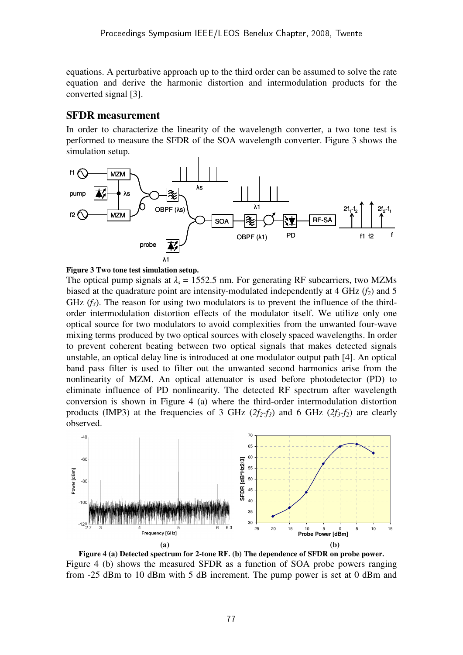equations. A perturbative approach up to the third order can be assumed to solve the rate equation and derive the harmonic distortion and intermodulation products for the converted signal [3].

### **SFDR measurement**

In order to characterize the linearity of the wavelength converter, a two tone test is performed to measure the SFDR of the SOA wavelength converter. Figure 3 shows the simulation setup.



#### **Figure 3 Two tone test simulation setup.**

The optical pump signals at  $\lambda_s = 1552.5$  nm. For generating RF subcarriers, two MZMs biased at the quadrature point are intensity-modulated independently at 4 GHz (*f2*) and 5 GHz  $(f_3)$ . The reason for using two modulators is to prevent the influence of the thirdorder intermodulation distortion effects of the modulator itself. We utilize only one optical source for two modulators to avoid complexities from the unwanted four-wave mixing terms produced by two optical sources with closely spaced wavelengths. In order to prevent coherent beating between two optical signals that makes detected signals unstable, an optical delay line is introduced at one modulator output path [4]. An optical band pass filter is used to filter out the unwanted second harmonics arise from the nonlinearity of MZM. An optical attenuator is used before photodetector (PD) to eliminate influence of PD nonlinearity. The detected RF spectrum after wavelength conversion is shown in Figure 4 (a) where the third-order intermodulation distortion products (IMP3) at the frequencies of 3 GHz  $(2f_2-f_3)$  and 6 GHz  $(2f_3-f_2)$  are clearly observed.



**Figure 4 (a) Detected spectrum for 2-tone RF. (b) The dependence of SFDR on probe power.**  Figure 4 (b) shows the measured SFDR as a function of SOA probe powers ranging from -25 dBm to 10 dBm with 5 dB increment. The pump power is set at 0 dBm and